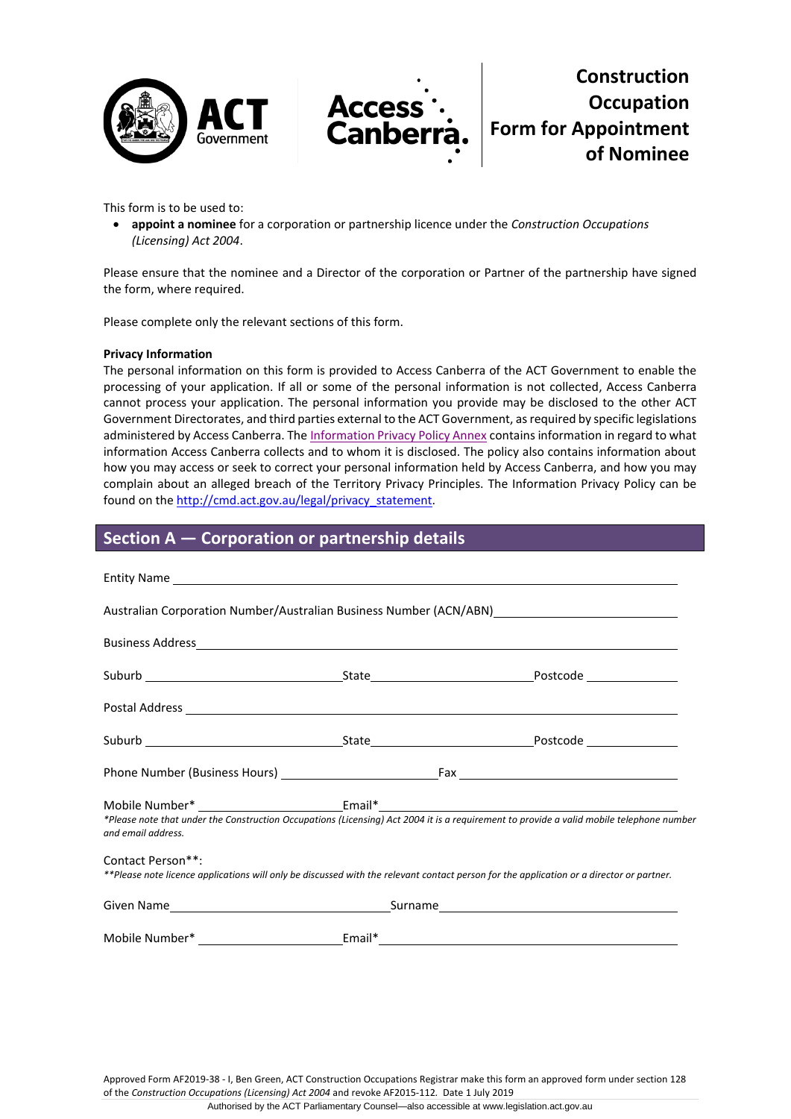



**Construction Occupation Form for Appointment of Nominee**

This form is to be used to:

• **appoint a nominee** for a corporation or partnership licence under the *Construction Occupations (Licensing) Act 2004*.

Please ensure that the nominee and a Director of the corporation or Partner of the partnership have signed the form, where required.

Please complete only the relevant sections of this form.

#### **Privacy Information**

The personal information on this form is provided to Access Canberra of the ACT Government to enable the processing of your application. If all or some of the personal information is not collected, Access Canberra cannot process your application. The personal information you provide may be disclosed to the other ACT Government Directorates, and third parties external to the ACT Government, as required by specific legislations administered by Access Canberra. The [Information Privacy Policy Annex](http://www.environment.act.gov.au/__data/assets/pdf_file/0006/633741/Information-Privacy-Policy-Annex.pdf) contains information in regard to what information Access Canberra collects and to whom it is disclosed. The policy also contains information about how you may access or seek to correct your personal information held by Access Canberra, and how you may complain about an alleged breach of the Territory Privacy Principles. The Information Privacy Policy can be found on the [http://cmd.act.gov.au/legal/privacy\\_statement.](http://cmd.act.gov.au/legal/privacy_statement) 

## **Section A — Corporation or partnership details**

| Australian Corporation Number/Australian Business Number (ACN/ABN)                                                                                             |  |  |  |
|----------------------------------------------------------------------------------------------------------------------------------------------------------------|--|--|--|
|                                                                                                                                                                |  |  |  |
|                                                                                                                                                                |  |  |  |
|                                                                                                                                                                |  |  |  |
|                                                                                                                                                                |  |  |  |
|                                                                                                                                                                |  |  |  |
| *Please note that under the Construction Occupations (Licensing) Act 2004 it is a requirement to provide a valid mobile telephone number<br>and email address. |  |  |  |
| Contact Person**:<br>**Please note licence applications will only be discussed with the relevant contact person for the application or a director or partner.  |  |  |  |
|                                                                                                                                                                |  |  |  |
|                                                                                                                                                                |  |  |  |

Approved Form AF2019-38 - I, Ben Green, ACT Construction Occupations Registrar make this form an approved form under section 128 of the *Construction Occupations (Licensing) Act 2004* and revoke AF2015-112*.* Date 1 July 2019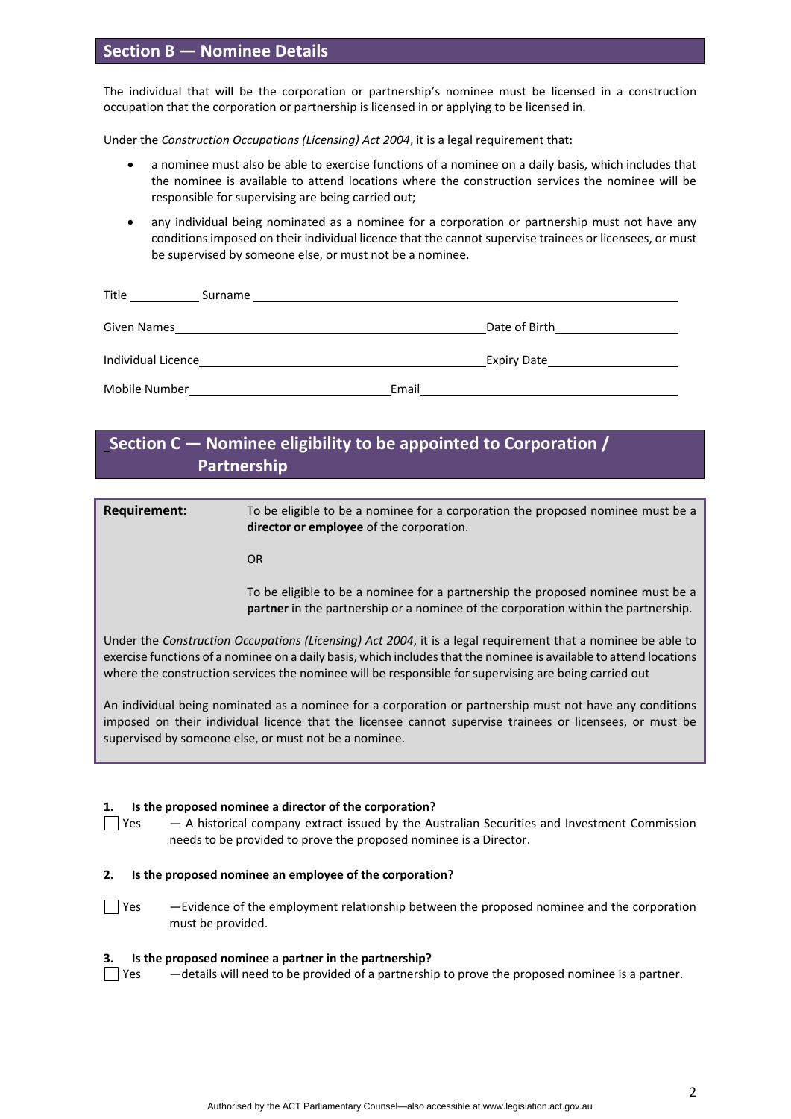## **Section B — Nominee Details**

The individual that will be the corporation or partnership's nominee must be licensed in a construction occupation that the corporation or partnership is licensed in or applying to be licensed in.

Under the *Construction Occupations (Licensing) Act 2004*, it is a legal requirement that:

- a nominee must also be able to exercise functions of a nominee on a daily basis, which includes that the nominee is available to attend locations where the construction services the nominee will be responsible for supervising are being carried out;
- any individual being nominated as a nominee for a corporation or partnership must not have any conditions imposed on their individual licence that the cannot supervise trainees or licensees, or must be supervised by someone else, or must not be a nominee.

| Title<br>Surname   |       |                    |
|--------------------|-------|--------------------|
| Given Names        |       | Date of Birth      |
| Individual Licence |       | <b>Expiry Date</b> |
| Mobile Number      | Email |                    |

## **Section C — Nominee eligibility to be appointed to Corporation / Partnership**

**Requirement:** To be eligible to be a nominee for a corporation the proposed nominee must be a **director or employee** of the corporation.

OR

To be eligible to be a nominee for a partnership the proposed nominee must be a **partner** in the partnership or a nominee of the corporation within the partnership.

Under the *Construction Occupations (Licensing) Act 2004*, it is a legal requirement that a nominee be able to exercise functions of a nominee on a daily basis, which includes that the nominee is available to attend locations where the construction services the nominee will be responsible for supervising are being carried out

An individual being nominated as a nominee for a corporation or partnership must not have any conditions imposed on their individual licence that the licensee cannot supervise trainees or licensees, or must be supervised by someone else, or must not be a nominee.

#### **1. Is the proposed nominee a director of the corporation?**

 $\Box$  Yes  $\Box$  A historical company extract issued by the Australian Securities and Investment Commission needs to be provided to prove the proposed nominee is a Director.

#### **2. Is the proposed nominee an employee of the corporation?**

Yes —Evidence of the employment relationship between the proposed nominee and the corporation must be provided.

#### **3. Is the proposed nominee a partner in the partnership?**

Yes —details will need to be provided of a partnership to prove the proposed nominee is a partner.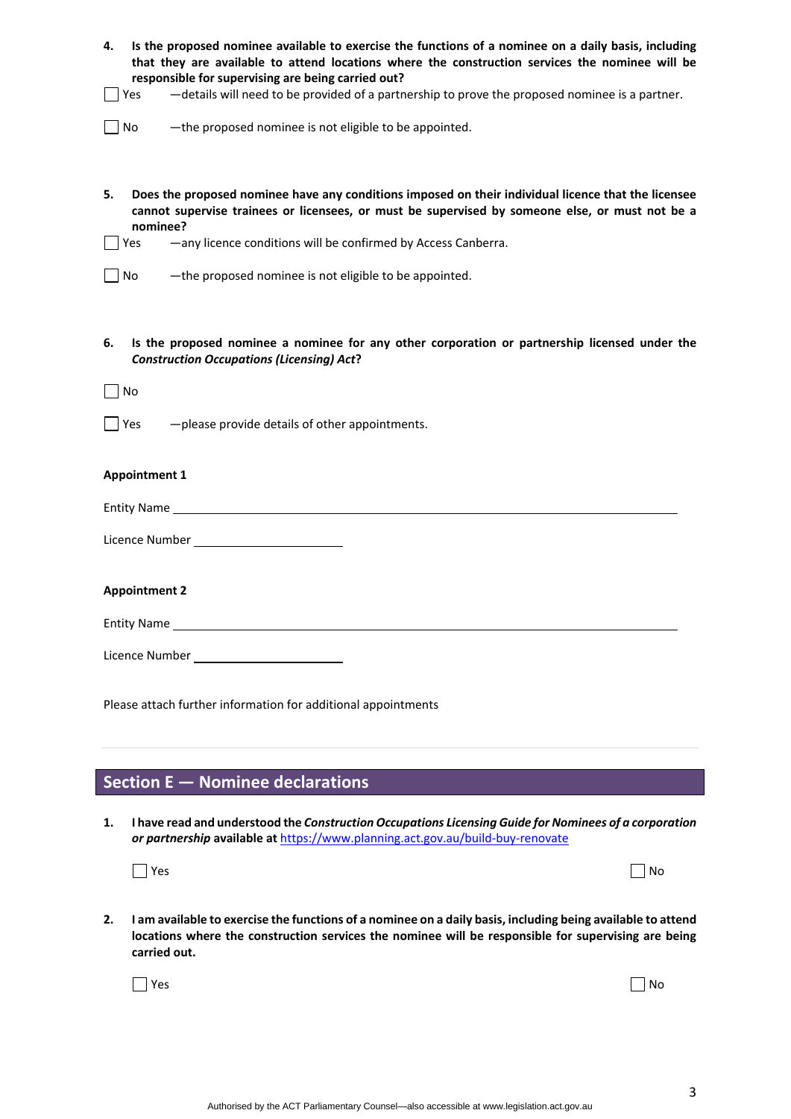| Is the proposed nominee available to exercise the functions of a nominee on a daily basis, including<br>4.<br>that they are available to attend locations where the construction services the nominee will be<br>responsible for supervising are being carried out?                                |  |  |
|----------------------------------------------------------------------------------------------------------------------------------------------------------------------------------------------------------------------------------------------------------------------------------------------------|--|--|
| -details will need to be provided of a partnership to prove the proposed nominee is a partner.<br>Yes                                                                                                                                                                                              |  |  |
| -the proposed nominee is not eligible to be appointed.<br>  No                                                                                                                                                                                                                                     |  |  |
| Does the proposed nominee have any conditions imposed on their individual licence that the licensee<br>5.<br>cannot supervise trainees or licensees, or must be supervised by someone else, or must not be a<br>nominee?<br>-any licence conditions will be confirmed by Access Canberra.<br>l Yes |  |  |
| -the proposed nominee is not eligible to be appointed.<br>No                                                                                                                                                                                                                                       |  |  |
| Is the proposed nominee a nominee for any other corporation or partnership licensed under the<br>6.<br><b>Construction Occupations (Licensing) Act?</b><br>$\Box$ No<br>$\bigcap$ Yes<br>-please provide details of other appointments.                                                            |  |  |
| <b>Appointment 1</b>                                                                                                                                                                                                                                                                               |  |  |
|                                                                                                                                                                                                                                                                                                    |  |  |
|                                                                                                                                                                                                                                                                                                    |  |  |
| <b>Appointment 2</b>                                                                                                                                                                                                                                                                               |  |  |
|                                                                                                                                                                                                                                                                                                    |  |  |
| Licence Number _____________________________                                                                                                                                                                                                                                                       |  |  |
| Please attach further information for additional appointments                                                                                                                                                                                                                                      |  |  |

# **Section E — Nominee declarations**

**1. I have read and understood the** *Construction Occupations Licensing Guide for Nominees of a corporation or partnership* **available at** <https://www.planning.act.gov.au/build-buy-renovate>

| $\Box$ Yes | $\Box$ No |
|------------|-----------|
|------------|-----------|

**2. I am available to exercise the functions of a nominee on a daily basis, including being available to attend locations where the construction services the nominee will be responsible for supervising are being carried out.**

Yes and the contract of the contract of the contract of the contract of the contract of the contract of the contract of the contract of the contract of the contract of the contract of the contract of the contract of the co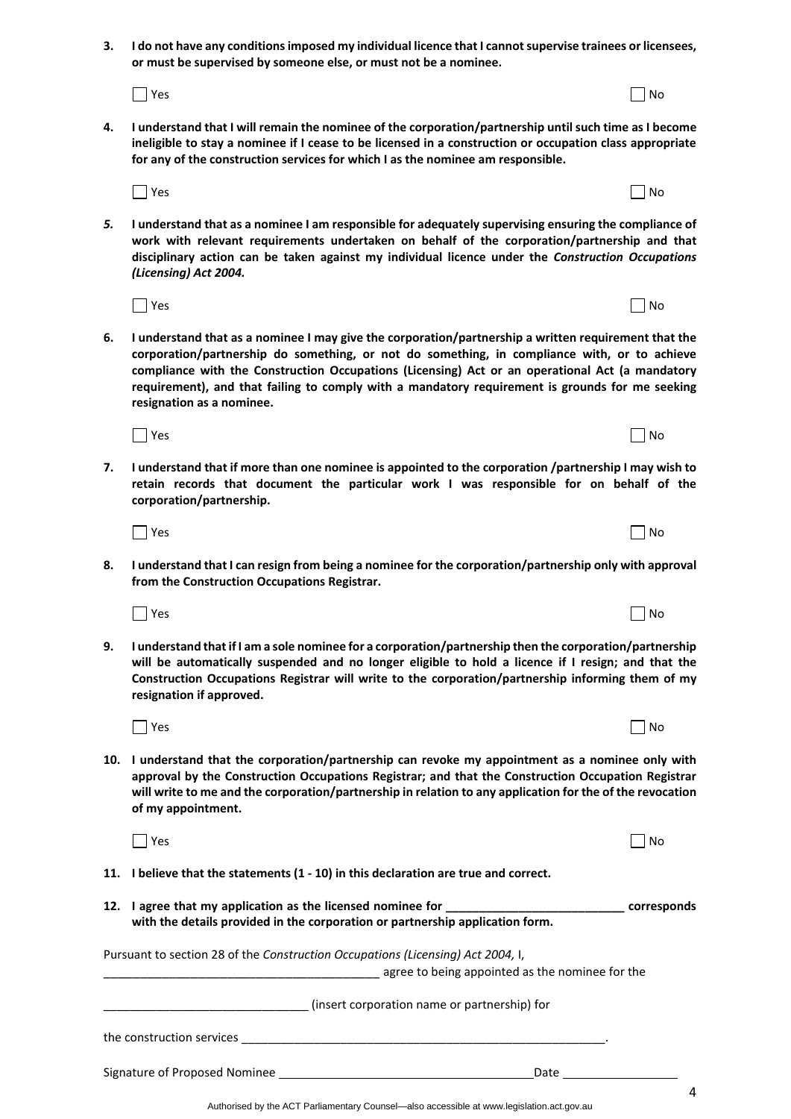Authorised by the ACT Parliamentary Counsel—also accessible at www.legislation.act.gov.au

**3. I do not have any conditions imposed my individual licence that I cannot supervise trainees or licensees, or must be supervised by someone else, or must not be a nominee.**

Yes North and the Maria and the Maria and the Maria and the Maria and the Maria and the Maria and North and No

- **4. I understand that I will remain the nominee of the corporation/partnership until such time as I become ineligible to stay a nominee if I cease to be licensed in a construction or occupation class appropriate for any of the construction services for which I as the nominee am responsible.**
- *5.* **I understand that as a nominee I am responsible for adequately supervising ensuring the compliance of work with relevant requirements undertaken on behalf of the corporation/partnership and that disciplinary action can be taken against my individual licence under the** *Construction Occupations (Licensing) Act 2004.*

Yes North and the Maria and the Maria and the Maria and the Maria and the Maria and the Maria and North and No

Yes North and the Month of the Month of the Month of the Month of the Month of the Month of the Month of the Mo

- **6. I understand that as a nominee I may give the corporation/partnership a written requirement that the corporation/partnership do something, or not do something, in compliance with, or to achieve compliance with the Construction Occupations (Licensing) Act or an operational Act (a mandatory requirement), and that failing to comply with a mandatory requirement is grounds for me seeking resignation as a nominee.**
- **7. I understand that if more than one nominee is appointed to the corporation /partnership I may wish to retain records that document the particular work I was responsible for on behalf of the corporation/partnership.**

Yes North and the Maria and the Maria and the Maria and the Maria and the Maria and the Maria and North and No

- **8. I understand that I can resign from being a nominee for the corporation/partnership only with approval from the Construction Occupations Registrar.**
- **9. I understand that if I am a sole nominee for a corporation/partnership then the corporation/partnership will be automatically suspended and no longer eligible to hold a licence if I resign; and that the Construction Occupations Registrar will write to the corporation/partnership informing them of my resignation if approved.**
- **10. I understand that the corporation/partnership can revoke my appointment as a nominee only with approval by the Construction Occupations Registrar; and that the Construction Occupation Registrar will write to me and the corporation/partnership in relation to any application for the of the revocation of my appointment.**

Yes North and the Maria and the Maria and the Maria and the Maria and the Maria and the Maria and North and No

- **11. I believe that the statements (1 - 10) in this declaration are true and correct.**
- **12. I agree that my application as the licensed nominee for \_\_\_\_\_\_\_\_\_\_\_\_\_\_\_\_\_\_\_\_\_\_\_\_\_\_\_ corresponds with the details provided in the corporation or partnership application form.**

Pursuant to section 28 of the *Construction Occupations (Licensing) Act 2004,* I,

Signature of Proposed Nominee **Date** Date Date Date

agree to being appointed as the nominee for the

\_\_\_\_\_\_\_\_\_\_\_\_\_\_\_\_\_\_\_\_\_\_\_\_\_\_\_\_\_\_\_ (insert corporation name or partnership) for

the construction services \_\_\_\_\_\_\_\_\_\_\_\_\_\_\_\_\_\_\_\_\_\_\_\_\_\_\_\_\_\_\_\_\_\_\_\_\_\_\_\_\_\_\_\_\_\_\_\_\_\_\_\_\_\_\_.

Yes and the contract of the contract of the contract of the contract of the contract of the contract of the contract of the contract of the contract of the contract of the contract of the contract of the contract of the co

 $Y$ es  $\Box$  No

Yes North and the Maria and the Maria and the Maria and the Maria and the Maria and the Maria and North and No

4